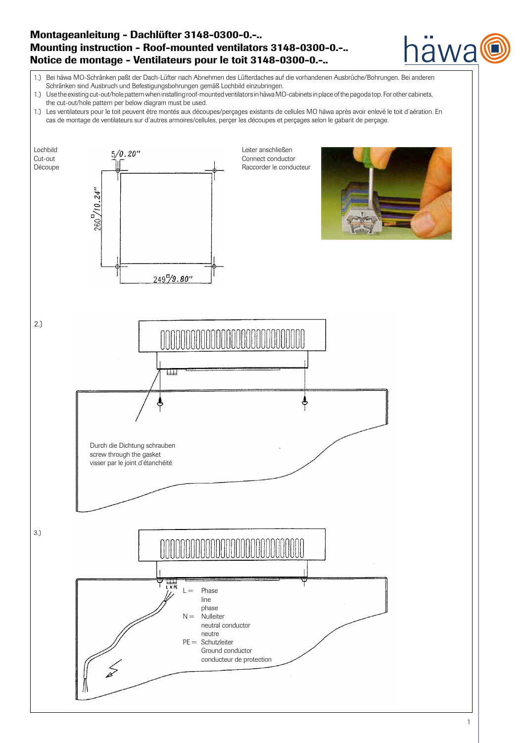# Montageanleitung - Dachlüfter 3148-0300-0.-.. Mounting instruction - Roof-mounted ventilators 3148-0300-0.-.. Notice de montage - Ventilateurs pour le toit 3148-0300-0.-..



- 1.) Use the existing cut-out/hole pattern when installing roof-mounted ventilators in häwa MO-cabinets in place of the pagoda top. For other cabinets, the cut-out/hole pattern per below diagram must be used.
- 1.) Les ventilateurs pour le toit peuvent être montés aux découpes/perçages existants de cellules MO häwa après avoir enlevé le toit d`aération. En cas de montage de ventilateurs sur d`autres armoires/cellules, perçer les découpes et perçages selon le gabarit de perçage.



iawa